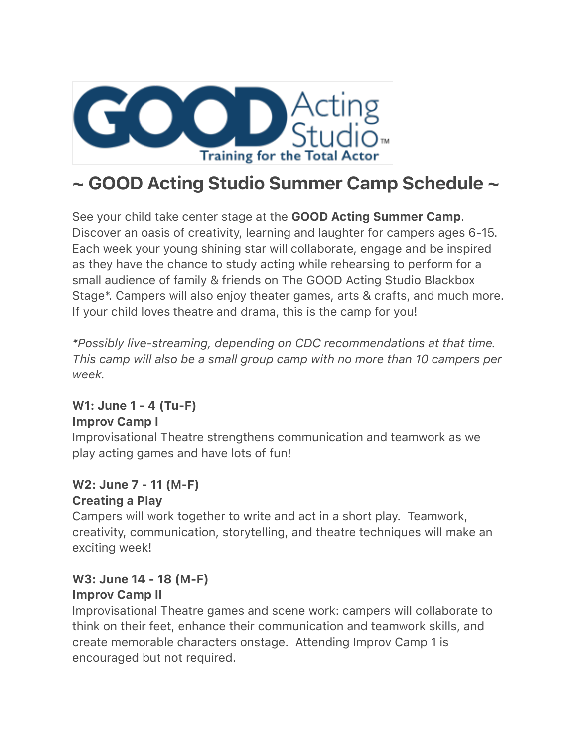

# ~ GOOD Acting Studio Summer Camp Schedule ~

See your child take center stage at the **GOOD Acting Summer Camp**. Discover an oasis of creativity, learning and laughter for campers ages 6-15. Each week your young shining star will collaborate, engage and be inspired as they have the chance to study acting while rehearsing to perform for a small audience of family & friends on The GOOD Acting Studio Blackbox Stage\*. Campers will also enjoy theater games, arts & crafts, and much more. If your child loves theatre and drama, this is the camp for you!

*\*Possibly live-streaming, depending on CDC recommendations at that time. This camp will also be a small group camp with no more than 10 campers per week.*

### W1: June 1 - 4 (Tu-F) Improv Camp I

Improvisational Theatre strengthens communication and teamwork as we play acting games and have lots of fun!

# W2: June 7 - 11 (M-F)

#### Creating a Play

Campers will work together to write and act in a short play. Teamwork, creativity, communication, storytelling, and theatre techniques will make an exciting week!

#### W3: June 14 - 18 (M-F) Improv Camp II

Improvisational Theatre games and scene work: campers will collaborate to think on their feet, enhance their communication and teamwork skills, and create memorable characters onstage. Attending Improv Camp 1 is encouraged but not required.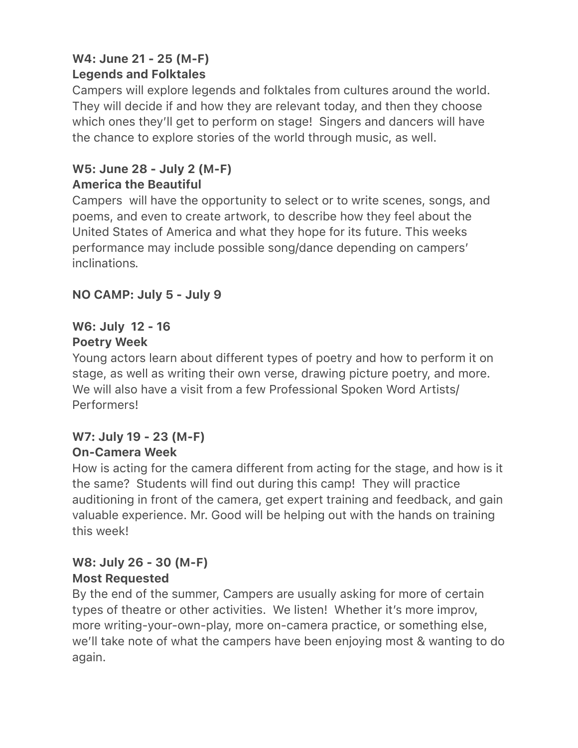# W4: June 21 - 25 (M-F) Legends and Folktales

Campers will explore legends and folktales from cultures around the world. They will decide if and how they are relevant today, and then they choose which ones they'll get to perform on stage! Singers and dancers will have the chance to explore stories of the world through music, as well.

# W5: June 28 - July 2 (M-F) America the Beautiful

Campers will have the opportunity to select or to write scenes, songs, and poems, and even to create artwork, to describe how they feel about the United States of America and what they hope for its future. This weeks performance may include possible song/dance depending on campers' inclinations*.*

# NO CAMP: July 5 - July 9

#### W6: July 12 - 16 Poetry Week

Young actors learn about different types of poetry and how to perform it on stage, as well as writing their own verse, drawing picture poetry, and more. We will also have a visit from a few Professional Spoken Word Artists/ Performers!

#### W7: July 19 - 23 (M-F) On-Camera Week

How is acting for the camera different from acting for the stage, and how is it the same? Students will find out during this camp! They will practice auditioning in front of the camera, get expert training and feedback, and gain valuable experience. Mr. Good will be helping out with the hands on training this week!

### W8: July 26 - 30 (M-F) Most Requested

By the end of the summer, Campers are usually asking for more of certain types of theatre or other activities. We listen! Whether it's more improv, more writing-your-own-play, more on-camera practice, or something else, we'll take note of what the campers have been enjoying most & wanting to do again.